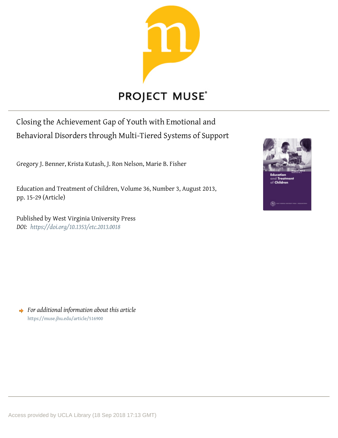

# **PROJECT MUSE®**

Closing the Achievement Gap of Youth with Emotional and Behavioral Disorders through Multi-Tiered Systems of Support

Gregory J. Benner, Krista Kutash, J. Ron Nelson, Marie B. Fisher

Education and Treatment of Children, Volume 36, Number 3, August 2013, pp. 15-29 (Article)

Published by West Virginia University Press *DOI: <https://doi.org/10.1353/etc.2013.0018>*



*For additional information about this article* <https://muse.jhu.edu/article/516900>

Access provided by UCLA Library (18 Sep 2018 17:13 GMT)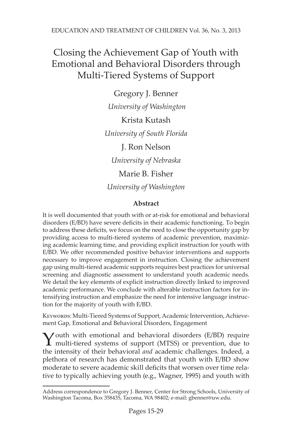## Closing the Achievement Gap of Youth with Emotional and Behavioral Disorders through Multi-Tiered Systems of Support

Gregory J. Benner  *University of Washington* Krista Kutash *University of South Florida* J. Ron Nelson *University of Nebraska* Marie B. Fisher *University of Washington*

### **Abstract**

It is well documented that youth with or at-risk for emotional and behavioral disorders (E/BD) have severe deficits in their academic functioning. To begin to address these deficits, we focus on the need to close the opportunity gap by providing access to multi-tiered systems of academic prevention, maximizing academic learning time, and providing explicit instruction for youth with E/BD. We offer recommended positive behavior interventions and supports necessary to improve engagement in instruction. Closing the achievement gap using multi-tiered academic supports requires best practices for universal screening and diagnostic assessment to understand youth academic needs. We detail the key elements of explicit instruction directly linked to improved academic performance. We conclude with alterable instruction factors for intensifying instruction and emphasize the need for intensive language instruction for the majority of youth with E/BD.

KEYWORDS: Multi-Tiered Systems of Support, Academic Intervention, Achievement Gap, Emotional and Behavioral Disorders, Engagement

Youth with emotional and behavioral disorders (E/BD) require multi-tiered systems of support (MTSS) or prevention, due to the intensity of their behavioral *and* academic challenges. Indeed, a plethora of research has demonstrated that youth with E/BD show moderate to severe academic skill deficits that worsen over time relative to typically achieving youth (e.g., Wagner, 1995) and youth with

Address correspondence to Gregory J. Benner, Center for Strong Schools, University of Washington Tacoma, Box 358435, Tacoma, WA 98402; e-mail: gbenner@uw.edu.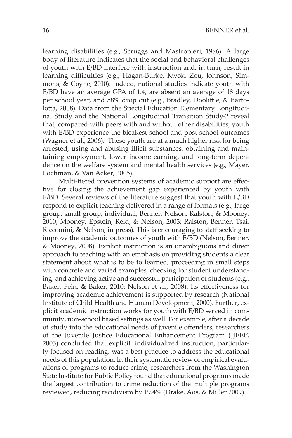learning disabilities (e.g., Scruggs and Mastropieri, 1986). A large body of literature indicates that the social and behavioral challenges of youth with E/BD interfere with instruction and, in turn, result in learning difficulties (e.g., Hagan-Burke, Kwok, Zou, Johnson, Simmons, & Coyne, 2010). Indeed, national studies indicate youth with E/BD have an average GPA of 1.4, are absent an average of 18 days per school year, and 58% drop out (e.g., Bradley, Doolittle, & Bartolotta, 2008). Data from the Special Education Elementary Longitudinal Study and the National Longitudinal Transition Study-2 reveal that, compared with peers with and without other disabilities, youth with E/BD experience the bleakest school and post-school outcomes (Wagner et al., 2006). These youth are at a much higher risk for being arrested, using and abusing illicit substances, obtaining and maintaining employment, lower income earning, and long-term dependence on the welfare system and mental health services (e.g., Mayer, Lochman, & Van Acker, 2005).

Multi-tiered prevention systems of academic support are effective for closing the achievement gap experienced by youth with E/BD. Several reviews of the literature suggest that youth with E/BD respond to explicit teaching delivered in a range of formats (e.g., large group, small group, individual; Benner, Nelson, Ralston, & Mooney, 2010; Mooney, Epstein, Reid, & Nelson, 2003; Ralston, Benner, Tsai, Riccomini, & Nelson, in press). This is encouraging to staff seeking to improve the academic outcomes of youth with E/BD (Nelson, Benner, & Mooney, 2008). Explicit instruction is an unambiguous and direct approach to teaching with an emphasis on providing students a clear statement about what is to be to learned, proceeding in small steps with concrete and varied examples, checking for student understanding, and achieving active and successful participation of students (e.g., Baker, Fein, & Baker, 2010; Nelson et al., 2008). Its effectiveness for improving academic achievement is supported by research (National Institute of Child Health and Human Development, 2000). Further, explicit academic instruction works for youth with E/BD served in community, non-school based settings as well. For example, after a decade of study into the educational needs of juvenile offenders, researchers of the Juvenile Justice Educational Enhancement Program (JJEEP, 2005) concluded that explicit, individualized instruction, particularly focused on reading, was a best practice to address the educational needs of this population. In their systematic review of empirical evaluations of programs to reduce crime, researchers from the Washington State Institute for Public Policy found that educational programs made the largest contribution to crime reduction of the multiple programs reviewed, reducing recidivism by 19.4% (Drake, Aos, & Miller 2009).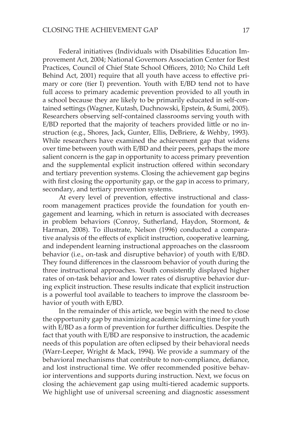Federal initiatives (Individuals with Disabilities Education Improvement Act, 2004; National Governors Association Center for Best Practices, Council of Chief State School Officers, 2010; No Child Left Behind Act, 2001) require that all youth have access to effective primary or core (tier I) prevention. Youth with E/BD tend not to have full access to primary academic prevention provided to all youth in a school because they are likely to be primarily educated in self-contained settings (Wagner, Kutash, Duchnowski, Epstein, & Sumi, 2005). Researchers observing self-contained classrooms serving youth with E/BD reported that the majority of teachers provided little or no instruction (e.g., Shores, Jack, Gunter, Ellis, DeBriere, & Wehby, 1993). While researchers have examined the achievement gap that widens over time between youth with E/BD and their peers, perhaps the more salient concern is the gap in opportunity to access primary prevention and the supplemental explicit instruction offered within secondary and tertiary prevention systems. Closing the achievement gap begins with first closing the opportunity gap, or the gap in access to primary, secondary, and tertiary prevention systems.

At every level of prevention, effective instructional and classroom management practices provide the foundation for youth engagement and learning, which in return is associated with decreases in problem behaviors (Conroy, Sutherland, Haydon, Stormont, & Harman, 2008). To illustrate, Nelson (1996) conducted a comparative analysis of the effects of explicit instruction, cooperative learning, and independent learning instructional approaches on the classroom behavior (i.e., on-task and disruptive behavior) of youth with E/BD. They found differences in the classroom behavior of youth during the three instructional approaches. Youth consistently displayed higher rates of on-task behavior and lower rates of disruptive behavior during explicit instruction. These results indicate that explicit instruction is a powerful tool available to teachers to improve the classroom behavior of youth with E/BD.

In the remainder of this article, we begin with the need to close the opportunity gap by maximizing academic learning time for youth with E/BD as a form of prevention for further difficulties. Despite the fact that youth with E/BD are responsive to instruction, the academic needs of this population are often eclipsed by their behavioral needs (Warr-Leeper, Wright & Mack, 1994). We provide a summary of the behavioral mechanisms that contribute to non-compliance, defiance, and lost instructional time. We offer recommended positive behavior interventions and supports during instruction. Next, we focus on closing the achievement gap using multi-tiered academic supports. We highlight use of universal screening and diagnostic assessment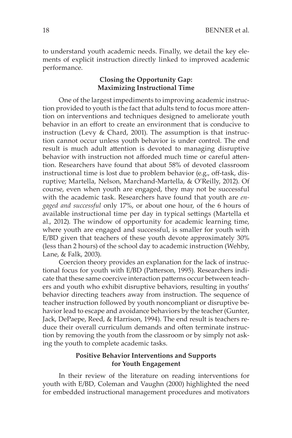to understand youth academic needs. Finally, we detail the key elements of explicit instruction directly linked to improved academic performance.

#### **Closing the Opportunity Gap: Maximizing Instructional Time**

One of the largest impediments to improving academic instruction provided to youth is the fact that adults tend to focus more attention on interventions and techniques designed to ameliorate youth behavior in an effort to create an environment that is conducive to instruction (Levy & Chard, 2001). The assumption is that instruction cannot occur unless youth behavior is under control. The end result is much adult attention is devoted to managing disruptive behavior with instruction not afforded much time or careful attention. Researchers have found that about 58% of devoted classroom instructional time is lost due to problem behavior (e.g., off-task, disruptive; Martella, Nelson, Marchand-Martella, & O'Reilly, 2012). Of course, even when youth are engaged, they may not be successful with the academic task. Researchers have found that youth are *engaged and successful* only 17%, or about one hour, of the 6 hours of available instructional time per day in typical settings (Martella et al., 2012). The window of opportunity for academic learning time, where youth are engaged and successful, is smaller for youth with E/BD given that teachers of these youth devote approximately 30% (less than 2 hours) of the school day to academic instruction (Wehby, Lane, & Falk, 2003).

Coercion theory provides an explanation for the lack of instructional focus for youth with E/BD (Patterson, 1995). Researchers indicate that these same coercive interaction patterns occur between teachers and youth who exhibit disruptive behaviors, resulting in youths' behavior directing teachers away from instruction. The sequence of teacher instruction followed by youth noncompliant or disruptive behavior lead to escape and avoidance behaviors by the teacher (Gunter, Jack, DePaepe, Reed, & Harrison, 1994). The end result is teachers reduce their overall curriculum demands and often terminate instruction by removing the youth from the classroom or by simply not asking the youth to complete academic tasks.

#### **Positive Behavior Interventions and Supports for Youth Engagement**

In their review of the literature on reading interventions for youth with E/BD, Coleman and Vaughn (2000) highlighted the need for embedded instructional management procedures and motivators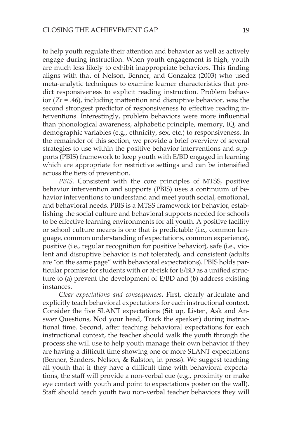to help youth regulate their attention and behavior as well as actively engage during instruction. When youth engagement is high, youth are much less likely to exhibit inappropriate behaviors. This finding aligns with that of Nelson, Benner, and Gonzalez (2003) who used meta-analytic techniques to examine learner characteristics that predict responsiveness to explicit reading instruction. Problem behavior  $(Zr = .46)$ , including inattention and disruptive behavior, was the second strongest predictor of responsiveness to effective reading interventions. Interestingly, problem behaviors were more influential than phonological awareness, alphabetic principle, memory, IQ, and demographic variables (e.g., ethnicity, sex, etc.) to responsiveness. In the remainder of this section, we provide a brief overview of several strategies to use within the positive behavior interventions and supports (PBIS) framework to keep youth with E/BD engaged in learning which are appropriate for restrictive settings and can be intensified across the tiers of prevention.

*PBIS*. Consistent with the core principles of MTSS, positive behavior intervention and supports (PBIS) uses a continuum of behavior interventions to understand and meet youth social, emotional, and behavioral needs. PBIS is a MTSS framework for behavior, establishing the social culture and behavioral supports needed for schools to be effective learning environments for all youth. A positive facility or school culture means is one that is predictable (i.e., common language, common understanding of expectations, common experience), positive (i.e., regular recognition for positive behavior), safe (i.e., violent and disruptive behavior is not tolerated), and consistent (adults are "on the same page" with behavioral expectations). PBIS holds particular promise for students with or at-risk for E/BD as a unified structure to (a) prevent the development of E/BD and (b) address existing instances.

*Clear expectations and consequences***.** First, clearly articulate and explicitly teach behavioral expectations for each instructional context. Consider the five SLANT expectations (**S**it up, **L**isten, **A**sk and Answer Questions, **N**od your head, **T**rack the speaker) during instructional time. Second, after teaching behavioral expectations for each instructional context, the teacher should walk the youth through the process she will use to help youth manage their own behavior if they are having a difficult time showing one or more SLANT expectations (Benner, Sanders, Nelson, & Ralston, in press). We suggest teaching all youth that if they have a difficult time with behavioral expectations, the staff will provide a non-verbal cue (e.g., proximity or make eye contact with youth and point to expectations poster on the wall). Staff should teach youth two non-verbal teacher behaviors they will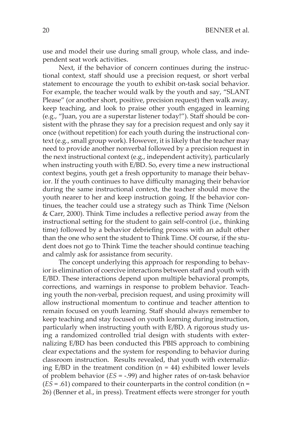use and model their use during small group, whole class, and independent seat work activities.

Next, if the behavior of concern continues during the instructional context, staff should use a precision request, or short verbal statement to encourage the youth to exhibit on-task social behavior. For example, the teacher would walk by the youth and say, "SLANT Please" (or another short, positive, precision request) then walk away, keep teaching, and look to praise other youth engaged in learning (e.g., "Juan, you are a superstar listener today!"). Staff should be consistent with the phrase they say for a precision request and only say it once (without repetition) for each youth during the instructional context (e.g., small group work). However, it is likely that the teacher may need to provide another nonverbal followed by a precision request in the next instructional context (e.g., independent activity), particularly when instructing youth with E/BD. So, every time a new instructional context begins, youth get a fresh opportunity to manage their behavior. If the youth continues to have difficulty managing their behavior during the same instructional context, the teacher should move the youth nearer to her and keep instruction going. If the behavior continues, the teacher could use a strategy such as Think Time (Nelson & Carr, 2000). Think Time includes a reflective period away from the instructional setting for the student to gain self-control (i.e., thinking time) followed by a behavior debriefing process with an adult other than the one who sent the student to Think Time. Of course, if the student does not go to Think Time the teacher should continue teaching and calmly ask for assistance from security.

The concept underlying this approach for responding to behavior is elimination of coercive interactions between staff and youth with E/BD. These interactions depend upon multiple behavioral prompts, corrections, and warnings in response to problem behavior. Teaching youth the non-verbal, precision request, and using proximity will allow instructional momentum to continue and teacher attention to remain focused on youth learning. Staff should always remember to keep teaching and stay focused on youth learning during instruction, particularly when instructing youth with E/BD. A rigorous study using a randomized controlled trial design with students with externalizing E/BD has been conducted this PBIS approach to combining clear expectations and the system for responding to behavior during classroom instruction. Results revealed, that youth with externalizing  $E/BD$  in the treatment condition (n = 44) exhibited lower levels of problem behavior (*ES* = -.99) and higher rates of on-task behavior  $(E\overline{S} = .61)$  compared to their counterparts in the control condition (n = 26) (Benner et al., in press). Treatment effects were stronger for youth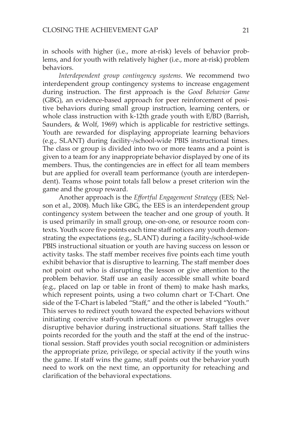in schools with higher (i.e., more at-risk) levels of behavior problems, and for youth with relatively higher (i.e., more at-risk) problem behaviors.

*Interdependent group contingency systems*. We recommend two interdependent group contingency systems to increase engagement during instruction. The first approach is the *Good Behavior Game*  (GBG), an evidence-based approach for peer reinforcement of positive behaviors during small group instruction, learning centers, or whole class instruction with k-12th grade youth with E/BD (Barrish, Saunders, & Wolf, 1969) which is applicable for restrictive settings. Youth are rewarded for displaying appropriate learning behaviors (e.g., SLANT) during facility-/school-wide PBIS instructional times. The class or group is divided into two or more teams and a point is given to a team for any inappropriate behavior displayed by one of its members. Thus, the contingencies are in effect for all team members but are applied for overall team performance (youth are interdependent). Teams whose point totals fall below a preset criterion win the game and the group reward.

Another approach is the *Effortful Engagement Strategy* (EES; Nelson et al., 2008). Much like GBG, the EES is an interdependent group contingency system between the teacher and one group of youth. It is used primarily in small group, one-on-one, or resource room contexts. Youth score five points each time staff notices any youth demonstrating the expectations (e.g., SLANT) during a facility-/school-wide PBIS instructional situation or youth are having success on lesson or activity tasks. The staff member receives five points each time youth exhibit behavior that is disruptive to learning. The staff member does not point out who is disrupting the lesson or give attention to the problem behavior. Staff use an easily accessible small white board (e.g., placed on lap or table in front of them) to make hash marks, which represent points, using a two column chart or T-Chart. One side of the T-Chart is labeled "Staff," and the other is labeled "Youth." This serves to redirect youth toward the expected behaviors without initiating coercive staff-youth interactions or power struggles over disruptive behavior during instructional situations. Staff tallies the points recorded for the youth and the staff at the end of the instructional session. Staff provides youth social recognition or administers the appropriate prize, privilege, or special activity if the youth wins the game. If staff wins the game, staff points out the behavior youth need to work on the next time, an opportunity for reteaching and clarification of the behavioral expectations.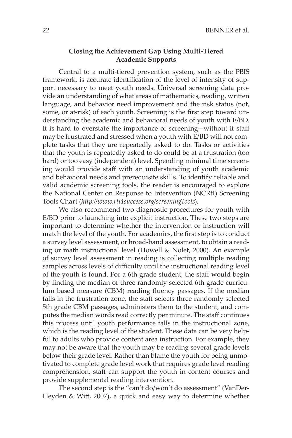#### **Closing the Achievement Gap Using Multi-Tiered Academic Supports**

Central to a multi-tiered prevention system, such as the PBIS framework, is accurate identification of the level of intensity of support necessary to meet youth needs. Universal screening data provide an understanding of what areas of mathematics, reading, written language, and behavior need improvement and the risk status (not, some, or at-risk) of each youth. Screening is the first step toward understanding the academic and behavioral needs of youth with E/BD. It is hard to overstate the importance of screening—without it staff may be frustrated and stressed when a youth with E/BD will not complete tasks that they are repeatedly asked to do. Tasks or activities that the youth is repeatedly asked to do could be at a frustration (too hard) or too easy (independent) level. Spending minimal time screening would provide staff with an understanding of youth academic and behavioral needs and prerequisite skills. To identify reliable and valid academic screening tools, the reader is encouraged to explore the National Center on Response to Intervention (NCRtI) Screening Tools Chart (*http://www.rti4success.org/screeningTools*).

We also recommend two diagnostic procedures for youth with E/BD prior to launching into explicit instruction. These two steps are important to determine whether the intervention or instruction will match the level of the youth. For academics, the first step is to conduct a survey level assessment, or broad-band assessment, to obtain a reading or math instructional level (Howell & Nolet, 2000). An example of survey level assessment in reading is collecting multiple reading samples across levels of difficulty until the instructional reading level of the youth is found. For a 6th grade student, the staff would begin by finding the median of three randomly selected 6th grade curriculum based measure (CBM) reading fluency passages. If the median falls in the frustration zone, the staff selects three randomly selected 5th grade CBM passages, administers them to the student, and computes the median words read correctly per minute. The staff continues this process until youth performance falls in the instructional zone, which is the reading level of the student. These data can be very helpful to adults who provide content area instruction. For example, they may not be aware that the youth may be reading several grade levels below their grade level. Rather than blame the youth for being unmotivated to complete grade level work that requires grade level reading comprehension, staff can support the youth in content courses and provide supplemental reading intervention.

The second step is the "can't do/won't do assessment" (VanDer-Heyden & Witt, 2007), a quick and easy way to determine whether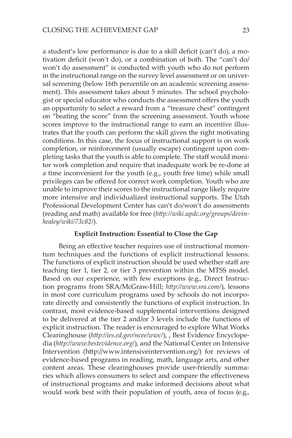a student's low performance is due to a skill deficit (can't do), a motivation deficit (won't do), or a combination of both. The "can't do/ won't do assessment" is conducted with youth who do not perform in the instructional range on the survey level assessment or on universal screening (below 16th percentile on an academic screening assessment). This assessment takes about 5 minutes. The school psychologist or special educator who conducts the assessment offers the youth an opportunity to select a reward from a "treasure chest" contingent on "beating the score" from the screening assessment. Youth whose scores improve to the instructional range to earn an incentive illustrates that the youth can perform the skill given the right motivating conditions. In this case, the focus of instructional support is on work completion, or reinforcement (usually escape) contingent upon completing tasks that the youth is able to complete. The staff would monitor work completion and require that inadequate work be re-done at a time inconvenient for the youth (e.g., youth free time) while small privileges can be offered for correct work completion. Youth who are unable to improve their scores to the instructional range likely require more intensive and individualized instructional supports. The Utah Professional Development Center has can't do/won't do assessments (reading and math) available for free (*http://wiki.updc.org/groups/devinhealey/wiki/73c82/*).

#### **Explicit Instruction: Essential to Close the Gap**

Being an effective teacher requires use of instructional momentum techniques and the functions of explicit instructional lessons. The functions of explicit instruction should be used whether staff are teaching tier 1, tier 2, or tier 3 prevention within the MTSS model. Based on our experience, with few exceptions (e.g., Direct Instruction programs from SRA/McGraw-Hill; *http://www.sra.com/*), lessons in most core curriculum programs used by schools do not incorporate directly and consistently the functions of explicit instruction. In contrast, most evidence-based supplemental interventions designed to be delivered at the tier 2 and/or 3 levels include the functions of explicit instruction. The reader is encouraged to explore What Works Clearinghouse (*http://ies.ed.gov/ncee/wwc/*), , Best Evidence Encyclopedia (*http://www.bestevidence.org/*), and the National Center on Intensive Intervention (http://www.intensiveintervention.org/) for reviews of evidence-based programs in reading, math, language arts, and other content areas. These clearinghouses provide user-friendly summaries which allows consumers to select and compare the effectiveness of instructional programs and make informed decisions about what would work best with their population of youth, area of focus (e.g.,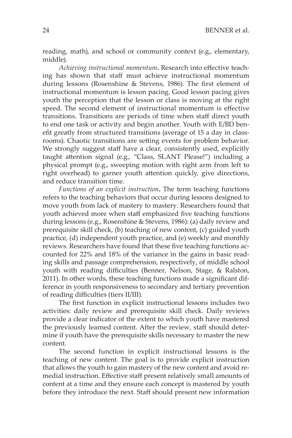reading, math), and school or community context (e.g., elementary, middle).

*Achieving instructional momentum***.** Research into effective teaching has shown that staff must achieve instructional momentum during lessons (Rosenshine & Stevens, 1986). The first element of instructional momentum is lesson pacing. Good lesson pacing gives youth the perception that the lesson or class is moving at the right speed. The second element of instructional momentum is effective transitions. Transitions are periods of time when staff direct youth to end one task or activity and begin another. Youth with E/BD benefit greatly from structured transitions (average of 15 a day in classrooms). Chaotic transitions are setting events for problem behavior. We strongly suggest staff have a clear, consistently used, explicitly taught attention signal (e.g., "Class, SLANT Please!") including a physical prompt (e.g., sweeping motion with right arm from left to right overhead) to garner youth attention quickly, give directions, and reduce transition time.

*Functions of an explicit instruction***.** The term teaching functions refers to the teaching behaviors that occur during lessons designed to move youth from lack of mastery to mastery. Researchers found that youth achieved more when staff emphasized five teaching functions during lessons (e.g., Rosenshine & Stevens, 1986): (a) daily review and prerequisite skill check, (b) teaching of new content, (c) guided youth practice, (d) independent youth practice, and (e) weekly and monthly reviews. Researchers have found that these five teaching functions accounted for 22% and 18% of the variance in the gains in basic reading skills and passage comprehension, respectively, of middle school youth with reading difficulties (Benner, Nelson, Stage, & Ralston, 2011). In other words, these teaching functions made a significant difference in youth responsiveness to secondary and tertiary prevention of reading difficulties (tiers II/III).

The first function in explicit instructional lessons includes two activities: daily review and prerequisite skill check. Daily reviews provide a clear indicator of the extent to which youth have mastered the previously learned content. After the review, staff should determine if youth have the prerequisite skills necessary to master the new content.

The second function in explicit instructional lessons is the teaching of new content. The goal is to provide explicit instruction that allows the youth to gain mastery of the new content and avoid remedial instruction. Effective staff present relatively small amounts of content at a time and they ensure each concept is mastered by youth before they introduce the next. Staff should present new information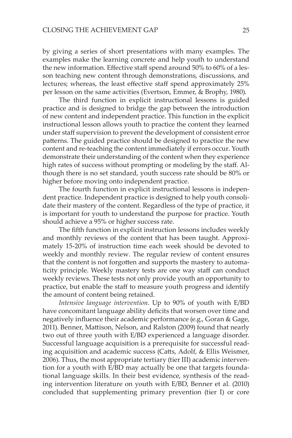by giving a series of short presentations with many examples. The examples make the learning concrete and help youth to understand the new information. Effective staff spend around 50% to 60% of a lesson teaching new content through demonstrations, discussions, and lectures; whereas, the least effective staff spend approximately 25% per lesson on the same activities (Evertson, Emmer, & Brophy, 1980).

The third function in explicit instructional lessons is guided practice and is designed to bridge the gap between the introduction of new content and independent practice. This function in the explicit instructional lesson allows youth to practice the content they learned under staff supervision to prevent the development of consistent error patterns. The guided practice should be designed to practice the new content and re-teaching the content immediately if errors occur. Youth demonstrate their understanding of the content when they experience high rates of success without prompting or modeling by the staff. Although there is no set standard, youth success rate should be 80% or higher before moving onto independent practice.

The fourth function in explicit instructional lessons is independent practice. Independent practice is designed to help youth consolidate their mastery of the content. Regardless of the type of practice, it is important for youth to understand the purpose for practice. Youth should achieve a 95% or higher success rate.

The fifth function in explicit instruction lessons includes weekly and monthly reviews of the content that has been taught. Approximately 15-20% of instruction time each week should be devoted to weekly and monthly review. The regular review of content ensures that the content is not forgotten and supports the mastery to automaticity principle. Weekly mastery tests are one way staff can conduct weekly reviews. These tests not only provide youth an opportunity to practice, but enable the staff to measure youth progress and identify the amount of content being retained.

*Intensive language intervention*. Up to 90% of youth with E/BD have concomitant language ability deficits that worsen over time and negatively influence their academic performance (e.g., Goran & Gage, 2011). Benner, Mattison, Nelson, and Ralston (2009) found that nearly two out of three youth with E/BD experienced a language disorder. Successful language acquisition is a prerequisite for successful reading acquisition and academic success (Catts, Adolf, & Ellis Weismer, 2006). Thus, the most appropriate tertiary (tier III) academic intervention for a youth with E/BD may actually be one that targets foundational language skills. In their best evidence, synthesis of the reading intervention literature on youth with E/BD, Benner et al. (2010) concluded that supplementing primary prevention (tier I) or core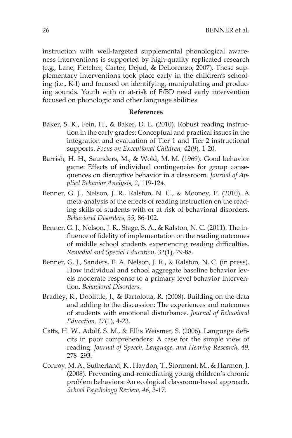instruction with well-targeted supplemental phonological awareness interventions is supported by high-quality replicated research (e.g., Lane, Fletcher, Carter, Dejud, & DeLorenzo, 2007). These supplementary interventions took place early in the children's schooling (i.e., K-1) and focused on identifying, manipulating and producing sounds. Youth with or at-risk of E/BD need early intervention focused on phonologic and other language abilities.

#### **References**

- Baker, S. K., Fein, H., & Baker, D. L. (2010). Robust reading instruction in the early grades: Conceptual and practical issues in the integration and evaluation of Tier 1 and Tier 2 instructional supports. *Focus on Exceptional Children, 42*(9), 1-20.
- Barrish, H. H., Saunders, M., & Wold, M. M. (1969). Good behavior game: Effects of individual contingencies for group consequences on disruptive behavior in a classroom. *Journal of Applied Behavior Analysis, 2*, 119-124.
- Benner, G. J., Nelson, J. R., Ralston, N. C., & Mooney, P. (2010). A meta-analysis of the effects of reading instruction on the reading skills of students with or at risk of behavioral disorders. *Behavioral Disorders, 35*, 86-102.
- Benner, G. J., Nelson, J. R., Stage, S. A., & Ralston, N. C. (2011). The influence of fidelity of implementation on the reading outcomes of middle school students experiencing reading difficulties. *Remedial and Special Education, 32*(1), 79-88.
- Benner, G. J., Sanders, E. A. Nelson, J. R., & Ralston, N. C. (in press). How individual and school aggregate baseline behavior levels moderate response to a primary level behavior intervention. *Behavioral Disorders*.
- Bradley, R., Doolittle, J., & Bartolotta, R. (2008). Building on the data and adding to the discussion: The experiences and outcomes of students with emotional disturbance. *Journal of Behavioral Education, 17*(1), 4-23.
- Catts, H. W., Adolf, S. M., & Ellis Weismer, S. (2006). Language deficits in poor comprehenders: A case for the simple view of reading. *Journal of Speech, Language, and Hearing Research*, *49*, 278–293.
- Conroy, M. A., Sutherland, K., Haydon, T., Stormont, M., & Harmon, J. (2008). Preventing and remediating young children's chronic problem behaviors: An ecological classroom-based approach. *School Psychology Review, 46*, 3-17.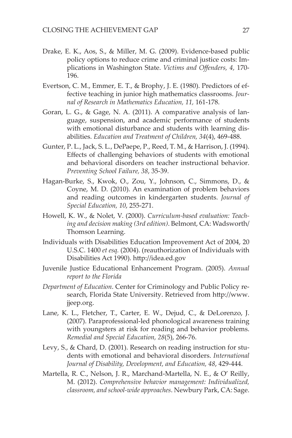- Drake, E. K., Aos, S., & Miller, M. G. (2009). Evidence-based public policy options to reduce crime and criminal justice costs: Implications in Washington State. *Victims and Offenders, 4,* 170- 196.
- Evertson, C. M., Emmer, E. T., & Brophy, J. E. (1980). Predictors of effective teaching in junior high mathematics classrooms. *Journal of Research in Mathematics Education, 11,* 161-178.
- Goran, L. G., & Gage, N. A. (2011). A comparative analysis of language, suspension, and academic performance of students with emotional disturbance and students with learning disabilities. *Education and Treatment of Children, 34*(4), 469-488.
- Gunter, P. L., Jack, S. L., DePaepe, P., Reed, T. M., & Harrison, J. (1994). Effects of challenging behaviors of students with emotional and behavioral disorders on teacher instructional behavior. *Preventing School Failure, 38*, 35-39.
- Hagan-Burke, S., Kwok, O., Zou, Y., Johnson, C., Simmons, D., & Coyne, M. D. (2010). An examination of problem behaviors and reading outcomes in kindergarten students. *Journal of Special Education, 10*, 255-271.
- Howell, K. W., & Nolet, V. (2000). *Curriculum-based evaluation: Teaching and decision making (3rd edition)*. Belmont, CA: Wadsworth/ Thomson Learning.
- Individuals with Disabilities Education Improvement Act of 2004, 20 U.S.C. 1400 *et esq.* (2004). (reauthorization of Individuals with Disabilities Act 1990). http://idea.ed.gov
- Juvenile Justice Educational Enhancement Program. (2005). *Annual report to the Florida*
- *Department of Education*. Center for Criminology and Public Policy research, Florida State University. Retrieved from http://www. jjeep.org.
- Lane, K. L., Fletcher, T., Carter, E. W., Dejud, C., & DeLorenzo, J. (2007). Paraprofessional-led phonological awareness training with youngsters at risk for reading and behavior problems. *Remedial and Special Education, 28*(5), 266-76.
- Levy, S., & Chard, D. (2001). Research on reading instruction for students with emotional and behavioral disorders. *International Journal of Disability, Development, and Education, 48*, 429-444.
- Martella, R. C., Nelson, J. R., Marchand-Martella, N. E., & O' Reilly, M. (2012). *Comprehensive behavior management: Individualized, classroom, and school-wide approaches*. Newbury Park, CA: Sage.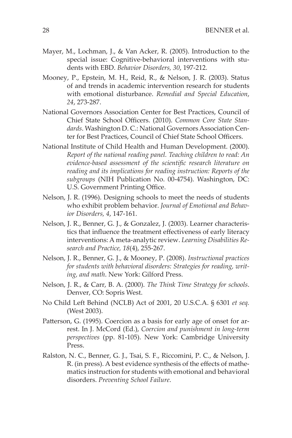- Mayer, M., Lochman, J., & Van Acker, R. (2005). Introduction to the special issue: Cognitive-behavioral interventions with students with EBD. *Behavior Disorders, 30*, 197-212.
- Mooney, P., Epstein, M. H., Reid, R., & Nelson, J. R. (2003). Status of and trends in academic intervention research for students with emotional disturbance. *Remedial and Special Education*, *24*, 273-287.
- National Governors Association Center for Best Practices, Council of Chief State School Officers. (2010). *Common Core State Standards*. Washington D. C.: National Governors Association Center for Best Practices, Council of Chief State School Officers.
- National Institute of Child Health and Human Development. (2000). *Report of the national reading panel. Teaching children to read: An evidence-based assessment of the scientific research literature on reading and its implications for reading instruction: Reports of the subgroups* (NIH Publication No. 00-4754). Washington, DC: U.S. Government Printing Office.
- Nelson, J. R. (1996). Designing schools to meet the needs of students who exhibit problem behavior. *Journal of Emotional and Behavior Disorders, 4*, 147-161.
- Nelson, J. R., Benner, G. J., & Gonzalez, J. (2003). Learner characteristics that influence the treatment effectiveness of early literacy interventions: A meta-analytic review. *Learning Disabilities Research and Practice, 18*(4), 255-267.
- Nelson, J. R., Benner, G. J., & Mooney, P. (2008). *Instructional practices for students with behavioral disorders: Strategies for reading, writing, and math*. New York: Gilford Press.
- Nelson, J. R., & Carr, B. A. (2000). *The Think Time Strategy for schools*. Denver, CO: Sopris West.
- No Child Left Behind (NCLB) Act of 2001, 20 U.S.C.A. § 6301 *et seq.*  (West 2003).
- Patterson, G. (1995). Coercion as a basis for early age of onset for arrest. In J. McCord (Ed.), *Coercion and punishment in long-term perspectives* (pp. 81-105). New York: Cambridge University Press.
- Ralston, N. C., Benner, G. J., Tsai, S. F., Riccomini, P. C., & Nelson, J. R. (in press). A best evidence synthesis of the effects of mathematics instruction for students with emotional and behavioral disorders. *Preventing School Failure*.